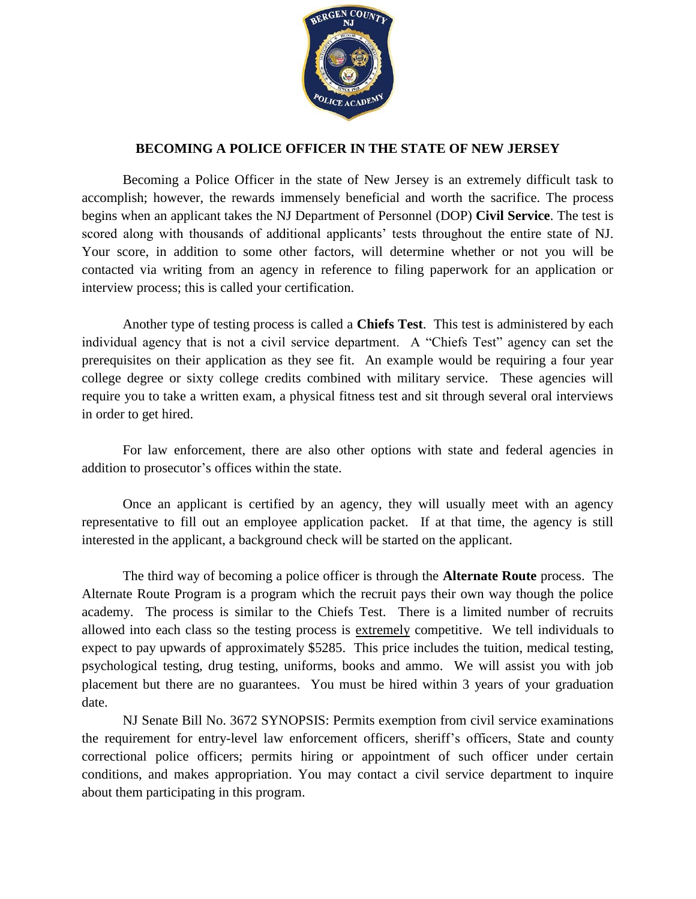

## **BECOMING A POLICE OFFICER IN THE STATE OF NEW JERSEY**

Becoming a Police Officer in the state of New Jersey is an extremely difficult task to accomplish; however, the rewards immensely beneficial and worth the sacrifice. The process begins when an applicant takes the NJ Department of Personnel (DOP) **Civil Service**. The test is scored along with thousands of additional applicants' tests throughout the entire state of NJ. Your score, in addition to some other factors, will determine whether or not you will be contacted via writing from an agency in reference to filing paperwork for an application or interview process; this is called your certification.

Another type of testing process is called a **Chiefs Test**. This test is administered by each individual agency that is not a civil service department. A "Chiefs Test" agency can set the prerequisites on their application as they see fit. An example would be requiring a four year college degree or sixty college credits combined with military service. These agencies will require you to take a written exam, a physical fitness test and sit through several oral interviews in order to get hired.

For law enforcement, there are also other options with state and federal agencies in addition to prosecutor's offices within the state.

Once an applicant is certified by an agency, they will usually meet with an agency representative to fill out an employee application packet. If at that time, the agency is still interested in the applicant, a background check will be started on the applicant.

The third way of becoming a police officer is through the **Alternate Route** process. The Alternate Route Program is a program which the recruit pays their own way though the police academy. The process is similar to the Chiefs Test. There is a limited number of recruits allowed into each class so the testing process is extremely competitive. We tell individuals to expect to pay upwards of approximately \$5285. This price includes the tuition, medical testing, psychological testing, drug testing, uniforms, books and ammo. We will assist you with job placement but there are no guarantees. You must be hired within 3 years of your graduation date.

NJ Senate Bill No. 3672 SYNOPSIS: Permits exemption from civil service examinations the requirement for entry-level law enforcement officers, sheriff's officers, State and county correctional police officers; permits hiring or appointment of such officer under certain conditions, and makes appropriation. You may contact a civil service department to inquire about them participating in this program.